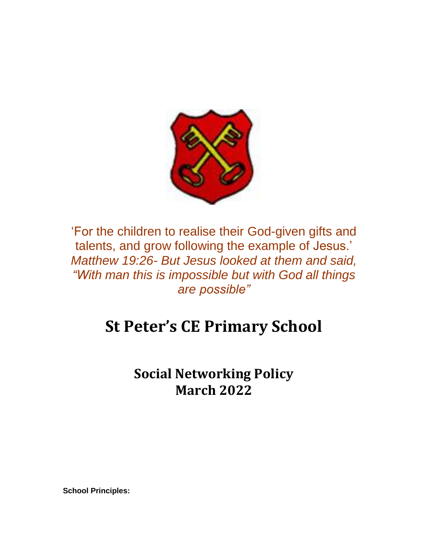

'For the children to realise their God-given gifts and talents, and grow following the example of Jesus.' *Matthew 19:26- But Jesus looked at them and said, "With man this is impossible but with God all things are possible"*

## **St Peter's CE Primary School**

**Social Networking Policy March 2022**

**School Principles:**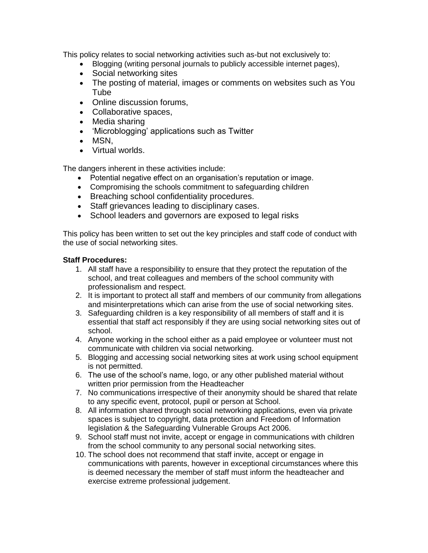This policy relates to social networking activities such as-but not exclusively to:

- Blogging (writing personal journals to publicly accessible internet pages),
- Social networking sites
- The posting of material, images or comments on websites such as You **Tube**
- Online discussion forums,
- Collaborative spaces,
- Media sharing
- 'Microblogging' applications such as Twitter
- MSN,
- Virtual worlds.

The dangers inherent in these activities include:

- Potential negative effect on an organisation's reputation or image.
- Compromising the schools commitment to safeguarding children
- Breaching school confidentiality procedures.
- Staff grievances leading to disciplinary cases.
- School leaders and governors are exposed to legal risks

This policy has been written to set out the key principles and staff code of conduct with the use of social networking sites.

## **Staff Procedures:**

- 1. All staff have a responsibility to ensure that they protect the reputation of the school, and treat colleagues and members of the school community with professionalism and respect.
- 2. It is important to protect all staff and members of our community from allegations and misinterpretations which can arise from the use of social networking sites.
- 3. Safeguarding children is a key responsibility of all members of staff and it is essential that staff act responsibly if they are using social networking sites out of school.
- 4. Anyone working in the school either as a paid employee or volunteer must not communicate with children via social networking.
- 5. Blogging and accessing social networking sites at work using school equipment is not permitted.
- 6. The use of the school's name, logo, or any other published material without written prior permission from the Headteacher
- 7. No communications irrespective of their anonymity should be shared that relate to any specific event, protocol, pupil or person at School.
- 8. All information shared through social networking applications, even via private spaces is subject to copyright, data protection and Freedom of Information legislation & the Safeguarding Vulnerable Groups Act 2006.
- 9. School staff must not invite, accept or engage in communications with children from the school community to any personal social networking sites.
- 10. The school does not recommend that staff invite, accept or engage in communications with parents, however in exceptional circumstances where this is deemed necessary the member of staff must inform the headteacher and exercise extreme professional judgement.